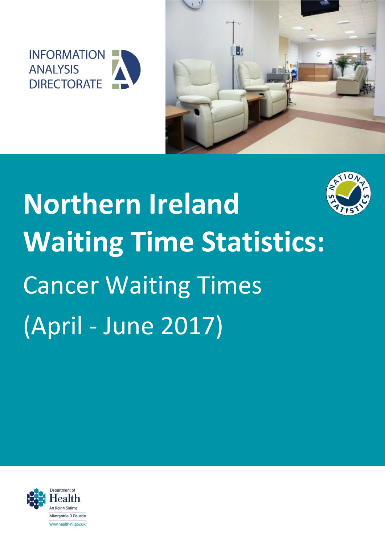



# **Northern Ireland Waiting Time Statistics:** Cancer Waiting Times (April - June 2017)

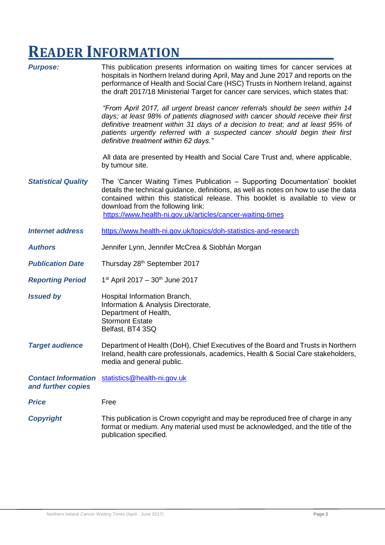# **READER INFORMATION\_\_\_\_\_\_\_\_\_\_\_\_\_\_\_\_\_\_\_\_\_\_\_\_**

| <b>Purpose:</b>                                  | This publication presents information on waiting times for cancer services at<br>hospitals in Northern Ireland during April, May and June 2017 and reports on the<br>performance of Health and Social Care (HSC) Trusts in Northern Ireland, against<br>the draft 2017/18 Ministerial Target for cancer care services, which states that:                                   |
|--------------------------------------------------|-----------------------------------------------------------------------------------------------------------------------------------------------------------------------------------------------------------------------------------------------------------------------------------------------------------------------------------------------------------------------------|
|                                                  | "From April 2017, all urgent breast cancer referrals should be seen within 14<br>days; at least 98% of patients diagnosed with cancer should receive their first<br>definitive treatment within 31 days of a decision to treat; and at least 95% of<br>patients urgently referred with a suspected cancer should begin their first<br>definitive treatment within 62 days." |
|                                                  | All data are presented by Health and Social Care Trust and, where applicable,<br>by tumour site.                                                                                                                                                                                                                                                                            |
| <b>Statistical Quality</b>                       | The 'Cancer Waiting Times Publication – Supporting Documentation' booklet<br>details the technical guidance, definitions, as well as notes on how to use the data<br>contained within this statistical release. This booklet is available to view or<br>download from the following link:<br>https://www.health-ni.gov.uk/articles/cancer-waiting-times                     |
| <b>Internet address</b>                          | https://www.health-ni.gov.uk/topics/doh-statistics-and-research                                                                                                                                                                                                                                                                                                             |
| <b>Authors</b>                                   | Jennifer Lynn, Jennifer McCrea & Siobhán Morgan                                                                                                                                                                                                                                                                                                                             |
| <b>Publication Date</b>                          | Thursday 28th September 2017                                                                                                                                                                                                                                                                                                                                                |
| <b>Reporting Period</b>                          | $1st$ April 2017 – 30 <sup>th</sup> June 2017                                                                                                                                                                                                                                                                                                                               |
| <b>Issued by</b>                                 | Hospital Information Branch,<br>Information & Analysis Directorate,<br>Department of Health,<br><b>Stormont Estate</b><br>Belfast, BT4 3SQ                                                                                                                                                                                                                                  |
| <b>Target audience</b>                           | Department of Health (DoH), Chief Executives of the Board and Trusts in Northern<br>Ireland, health care professionals, academics, Health & Social Care stakeholders,<br>media and general public.                                                                                                                                                                          |
| <b>Contact Information</b><br>and further copies | statistics@health-ni.gov.uk                                                                                                                                                                                                                                                                                                                                                 |
| <b>Price</b>                                     | Free                                                                                                                                                                                                                                                                                                                                                                        |
| <b>Copyright</b>                                 | This publication is Crown copyright and may be reproduced free of charge in any<br>format or medium. Any material used must be acknowledged, and the title of the<br>publication specified.                                                                                                                                                                                 |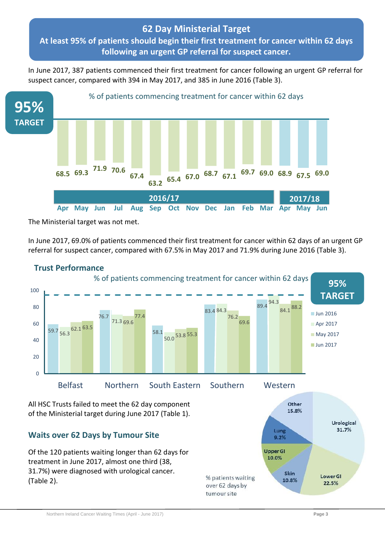## **62 Day Ministerial Target At least 95% of patients should begin their first treatment for cancer within 62 days following an urgent GP referral for suspect cancer.**

In June 2017, 387 patients commenced their first treatment for cancer following an urgent GP referral for suspect cancer, compared with 394 in May 2017, and 385 in June 2016 (Table 3).



The Ministerial target was not met.

In June 2017, 69.0% of patients commenced their first treatment for cancer within 62 days of an urgent GP referral for suspect cancer, compared with 67.5% in May 2017 and 71.9% during June 2016 (Table 3).

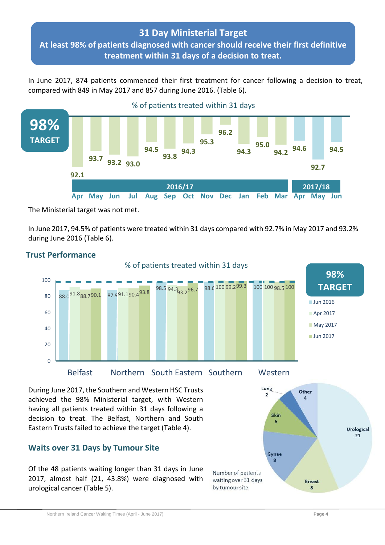## **31 Day Ministerial Target**

**At least 98% of patients diagnosed with cancer should receive their first definitive treatment within 31 days of a decision to treat.**

In June 2017, 874 patients commenced their first treatment for cancer following a decision to treat, compared with 849 in May 2017 and 857 during June 2016. (Table 6).



The Ministerial target was not met.

In June 2017, 94.5% of patients were treated within 31 days compared with 92.7% in May 2017 and 93.2% during June 2016 (Table 6).



#### **Trust Performance**

During June 2017, the Southern and Western HSC Trusts achieved the 98% Ministerial target, with Western having all patients treated within 31 days following a decision to treat. The Belfast, Northern and South Eastern Trusts failed to achieve the target (Table 4).

#### **Waits over 31 Days by Tumour Site**

Of the 48 patients waiting longer than 31 days in June 2017, almost half (21, 43.8%) were diagnosed with urological cancer (Table 5).

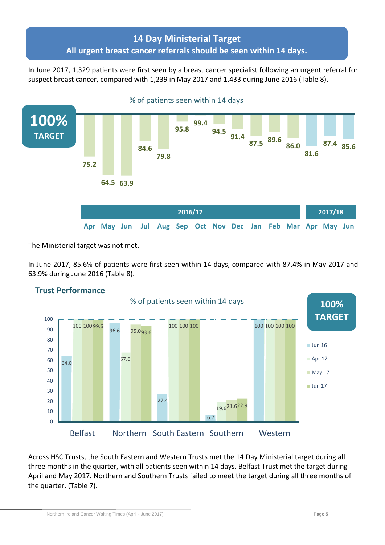# **14 Day Ministerial Target All urgent breast cancer referrals should be seen within 14 days.**

In June 2017, 1,329 patients were first seen by a breast cancer specialist following an urgent referral for suspect breast cancer, compared with 1,239 in May 2017 and 1,433 during June 2016 (Table 8).



The Ministerial target was not met.

In June 2017, 85.6% of patients were first seen within 14 days, compared with 87.4% in May 2017 and 63.9% during June 2016 (Table 8).



# **2015/16 Trust Performance**

Across HSC Trusts, the South Eastern and Western Trusts met the 14 Day Ministerial target during all three months in the quarter, with all patients seen within 14 days. Belfast Trust met the target during April and May 2017. Northern and Southern Trusts failed to meet the target during all three months of the quarter. (Table 7).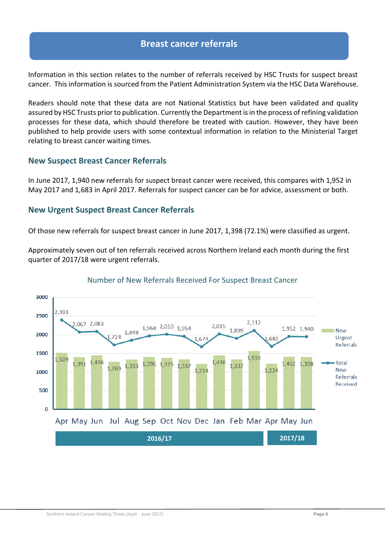#### **Breast cancer referrals**

Information in this section relates to the number of referrals received by HSC Trusts for suspect breast cancer. This information is sourced from the Patient Administration System via the HSC Data Warehouse.

Readers should note that these data are not National Statistics but have been validated and quality assured by HSC Trusts prior to publication. Currently the Department is in the process of refining validation processes for these data, which should therefore be treated with caution. However, they have been published to help provide users with some contextual information in relation to the Ministerial Target relating to breast cancer waiting times.

#### **New Suspect Breast Cancer Referrals**

In June 2017, 1,940 new referrals for suspect breast cancer were received, this compares with 1,952 in May 2017 and 1,683 in April 2017. Referrals for suspect cancer can be for advice, assessment or both.

#### **New Urgent Suspect Breast Cancer Referrals**

Of those new referrals for suspect breast cancer in June 2017, 1,398 (72.1%) were classified as urgent.

Approximately seven out of ten referrals received across Northern Ireland each month during the first quarter of 2017/18 were urgent referrals.



#### Number of New Referrals Received For Suspect Breast Cancer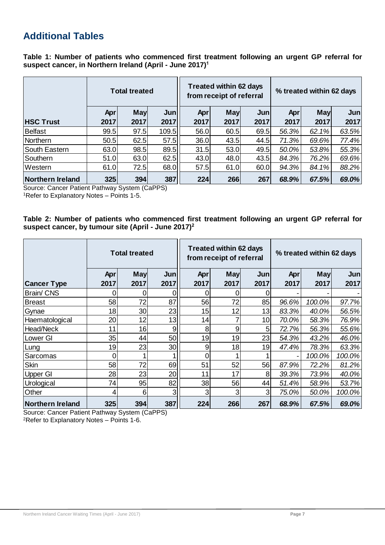# **Additional Tables**

**Table 1: Number of patients who commenced first treatment following an urgent GP referral for suspect cancer, in Northern Ireland (April - June 2017) 1**

|                  | <b>Total treated</b> |                    |             |             | <b>Treated within 62 days</b><br>from receipt of referral |             |             | % treated within 62 days |                          |  |
|------------------|----------------------|--------------------|-------------|-------------|-----------------------------------------------------------|-------------|-------------|--------------------------|--------------------------|--|
| <b>HSC Trust</b> | <b>Apr</b><br>2017   | <b>May</b><br>2017 | Jun<br>2017 | Apr<br>2017 | <b>May</b><br>2017                                        | Jun<br>2017 | Apr<br>2017 | <b>May</b><br>2017       | Jun <sub>1</sub><br>2017 |  |
| Belfast          | 99.5                 | 97.5               | 109.5       | 56.0        | 60.5                                                      | 69.5        | 56.3%       | 62.1%                    | 63.5%                    |  |
|                  |                      |                    |             |             |                                                           |             |             |                          |                          |  |
| Northern         | 50.5                 | 62.5               | 57.5        | 36.0        | 43.5                                                      | 44.5        | 71.3%       | 69.6%                    | 77.4%                    |  |
| South Eastern    | 63.0                 | 98.5               | 89.5        | 31.5        | 53.0                                                      | 49.5        | 50.0%       | 53.8%                    | 55.3%                    |  |
| Southern         | 51.0                 | 63.0               | 62.5        | 43.0        | 48.0                                                      | 43.5        | 84.3%       | 76.2%                    | 69.6%                    |  |
| Western          | 61.0                 | 72.5               | 68.0        | 57.5        | 61.0                                                      | 60.0        | 94.3%       | 84.1%                    | 88.2%                    |  |
| Northern Ireland | 325                  | 394                | 387         | 224         | 266                                                       | 267         | 68.9%       | 67.5%                    | 69.0%                    |  |

Source: Cancer Patient Pathway System (CaPPS)

<sup>1</sup>Refer to Explanatory Notes – Points 1-5.

#### **Table 2: Number of patients who commenced first treatment following an urgent GP referral for suspect cancer, by tumour site (April - June 2017) 2**

|                    | <b>Total treated</b> |            |                 | <b>Treated within 62 days</b><br>from receipt of referral |            |                | % treated within 62 days |            |                  |
|--------------------|----------------------|------------|-----------------|-----------------------------------------------------------|------------|----------------|--------------------------|------------|------------------|
|                    | <b>Apr</b>           | <b>May</b> | Jun             | Apr                                                       | <b>May</b> | Jun            | Apr                      | <b>May</b> | Jun <sub>1</sub> |
| <b>Cancer Type</b> | 2017                 | 2017       | 2017            | 2017                                                      | 2017       | 2017           | 2017                     | 2017       | 2017             |
| <b>Brain/CNS</b>   | 0                    |            |                 |                                                           |            | 0              |                          |            |                  |
| <b>Breast</b>      | 58                   | 72         | 87              | 56                                                        | 72         | 85             | 96.6%                    | 100.0%     | 97.7%            |
| Gynae              | 18                   | 30         | 23              | 15                                                        | 12         | 13             | 83.3%                    | 40.0%      | 56.5%            |
| Haematological     | 20                   | 12         | 13              | 14                                                        |            | 10             | 70.0%                    | 58.3%      | 76.9%            |
| Head/Neck          | 11                   | 16         | 9               | 8                                                         | 9          | 5              | 72.7%                    | 56.3%      | 55.6%            |
| Lower GI           | 35                   | 44         | 50              | 19                                                        | 19         | 23             | 54.3%                    | 43.2%      | 46.0%            |
| Lung               | 19                   | 23         | 30 <sub>l</sub> | 9                                                         | 18         | 19             | 47.4%                    | 78.3%      | 63.3%            |
| Sarcomas           | 0                    |            |                 | 0                                                         |            |                |                          | 100.0%     | 100.0%           |
| Skin               | 58                   | 72         | 69              | 51                                                        | 52         | 56             | 87.9%                    | 72.2%      | 81.2%            |
| Upper GI           | 28                   | 23         | 20              | 11                                                        | 17         | 8              | 39.3%                    | 73.9%      | 40.0%            |
| Urological         | 74                   | 95         | 82              | 38                                                        | 56         | 44             | 51.4%                    | 58.9%      | 53.7%            |
| Other              | 4                    | 6          | 3               | 3                                                         | 3          | 3 <sub>l</sub> | 75.0%                    | 50.0%      | 100.0%           |
| Northern Ireland   | 325                  | 394        | 387             | 224                                                       | 266        | 267            | 68.9%                    | 67.5%      | 69.0%            |

Source: Cancer Patient Pathway System (CaPPS)

<sup>2</sup>Refer to Explanatory Notes – Points 1-6.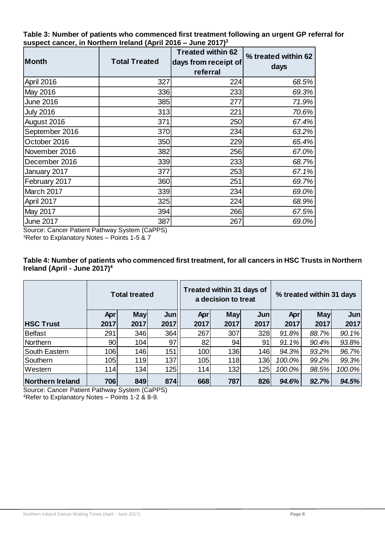**Table 3: Number of patients who commenced first treatment following an urgent GP referral for suspect cancer, in Northern Ireland (April 2016 – June 2017) 3**

| <b>Month</b>     | <b>Total Treated</b> | <b>Treated within 62</b><br>days from receipt of<br>referral | % treated within 62<br>days |
|------------------|----------------------|--------------------------------------------------------------|-----------------------------|
| April 2016       | 327                  | 224                                                          | 68.5%                       |
| May 2016         | 336                  | 233                                                          | 69.3%                       |
| June 2016        | 385                  | 277                                                          | 71.9%                       |
| <b>July 2016</b> | 313                  | 221                                                          | 70.6%                       |
| August 2016      | 371                  | 250                                                          | 67.4%                       |
| September 2016   | 370                  | 234                                                          | 63.2%                       |
| October 2016     | 350                  | 229                                                          | 65.4%                       |
| November 2016    | 382                  | 256                                                          | 67.0%                       |
| December 2016    | 339                  | 233                                                          | 68.7%                       |
| January 2017     | 377                  | 253                                                          | 67.1%                       |
| February 2017    | 360                  | 251                                                          | 69.7%                       |
| March 2017       | 339                  | 234                                                          | 69.0%                       |
| April 2017       | 325                  | 224                                                          | 68.9%                       |
| May 2017         | 394                  | 266                                                          | 67.5%                       |
| June 2017        | 387                  | 267                                                          | 69.0%                       |

Source: Cancer Patient Pathway System (CaPPS)

<sup>3</sup>Refer to Explanatory Notes – Points 1-5 & 7

| Table 4: Number of patients who commenced first treatment, for all cancers in HSC Trusts in Northern |  |
|------------------------------------------------------------------------------------------------------|--|
| Ireland (April - June 2017) $4$                                                                      |  |

|                  | <b>Total treated</b> |            |      | Treated within 31 days of<br>a decision to treat |            |      | % treated within 31 days |            |                  |
|------------------|----------------------|------------|------|--------------------------------------------------|------------|------|--------------------------|------------|------------------|
|                  | <b>Apr</b>           | <b>May</b> | Jun  | Apr                                              | <b>May</b> | Jun  | Apr                      | <b>May</b> | Jun <sub>l</sub> |
| <b>HSC Trust</b> | 2017                 | 2017       | 2017 | 2017                                             | 2017       | 2017 | 2017                     | 2017       | 2017             |
| Belfast          | 291                  | 346        | 364  | 267                                              | 307        | 328  | 91.8%                    | 88.7%      | 90.1%            |
| Northern         | 90                   | 104        | 97   | 82                                               | 94         | 91   | 91.1%                    | 90.4%      | 93.8%            |
| South Eastern    | 106                  | 146        | 151  | 100                                              | 136        | 146  | 94.3%                    | 93.2%      | 96.7%            |
| Southern         | 105                  | 119        | 137  | 105                                              | 118        | 136  | 100.0%                   | 99.2%      | 99.3%            |
| Western          | 114                  | 134        | 125  | 114                                              | 132        | 125  | 100.0%                   | 98.5%      | 100.0%           |
| Northern Ireland | 706                  | 849        | 874  | 668                                              | 787        | 826  | 94.6%                    | 92.7%      | 94.5%            |

Source: Cancer Patient Pathway System (CaPPS) <sup>4</sup>Refer to Explanatory Notes – Points 1-2 & 8-9.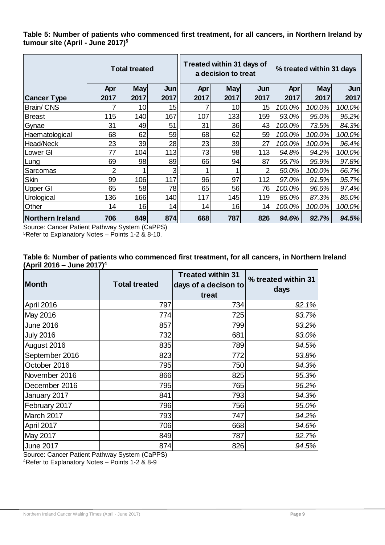**Table 5: Number of patients who commenced first treatment, for all cancers, in Northern Ireland by tumour site (April - June 2017) 5**

|                    | <b>Total treated</b> |                 | Treated within 31 days of<br>a decision to treat |      |                 | % treated within 31 days |        |            |        |
|--------------------|----------------------|-----------------|--------------------------------------------------|------|-----------------|--------------------------|--------|------------|--------|
|                    | Apr                  | <b>May</b>      | Jun                                              | Apr  | <b>May</b>      | Jun                      | Apr    | <b>May</b> | Jun    |
| <b>Cancer Type</b> | 2017                 | 2017            | 2017                                             | 2017 | 2017            | 2017                     | 2017   | 2017       | 2017   |
| <b>Brain/CNS</b>   |                      | 10 <sub>l</sub> | 15                                               |      | 10 <sup>1</sup> | 15                       | 100.0% | 100.0%     | 100.0% |
| Breast             | 115                  | 140             | 167                                              | 107  | 1331            | 159                      | 93.0%  | $95.0\%$   | 95.2%  |
| Gynae              | 31                   | 49              | 51                                               | 31   | 36              | 43                       | 100.0% | 73.5%      | 84.3%  |
| Haematological     | 68                   | 62              | 59                                               | 68   | 62              | 59                       | 100.0% | 100.0%     | 100.0% |
| Head/Neck          | 23                   | 39              | 28                                               | 23   | 39              | 27                       | 100.0% | 100.0%     | 96.4%  |
| Lower GI           | 77                   | 104             | 113                                              | 73   | 98              | 113                      | 94.8%  | 94.2%      | 100.0% |
| Lung               | 69                   | 98              | 89                                               | 66   | 94              | 87                       | 95.7%  | 95.9%      | 97.8%  |
| Sarcomas           | 2                    |                 | 3                                                |      |                 | 2                        | 50.0%  | 100.0%     | 66.7%  |
| Skin               | 99                   | 106             | 117                                              | 96   | 97              | 112                      | 97.0%  | 91.5%      | 95.7%  |
| Upper GI           | 65                   | 58              | 78                                               | 65   | 56              | 76                       | 100.0% | $96.6\%$   | 97.4%  |
| Urological         | 136                  | 166             | 140                                              | 117  | 145             | 119                      | 86.0%  | 87.3%      | 85.0%  |
| Other              | 14                   | 16              | 14                                               | 14   | 16              | 14                       | 100.0% | 100.0%     | 100.0% |
| Northern Ireland   | 706                  | 849             | 874                                              | 668  | 787             | 826                      | 94.6%  | 92.7%      | 94.5%  |

Source: Cancer Patient Pathway System (CaPPS) <sup>5</sup>Refer to Explanatory Notes – Points 1-2 & 8-10.

| Table 6: Number of patients who commenced first treatment, for all cancers, in Northern Ireland |  |
|-------------------------------------------------------------------------------------------------|--|
| (April 2016 – June 2017) <sup>4</sup>                                                           |  |

| <b>Month</b>     | <b>Total treated</b> | <b>Treated within 31</b><br>days of a decison to<br>treat | % treated within 31<br>days |
|------------------|----------------------|-----------------------------------------------------------|-----------------------------|
| April 2016       | 797                  | 734                                                       | 92.1%                       |
| May 2016         | 774                  | 725                                                       | 93.7%                       |
| <b>June 2016</b> | 857                  | 799                                                       | 93.2%                       |
| <b>July 2016</b> | 732                  | 681                                                       | 93.0%                       |
| August 2016      | 835                  | 789                                                       | 94.5%                       |
| September 2016   | 823                  | 772                                                       | 93.8%                       |
| October 2016     | 795                  | 750                                                       | 94.3%                       |
| November 2016    | 866                  | 825                                                       | 95.3%                       |
| December 2016    | 795                  | 765                                                       | 96.2%                       |
| January 2017     | 841                  | 793                                                       | 94.3%                       |
| February 2017    | 796                  | 756                                                       | 95.0%                       |
| March 2017       | 793                  | 747                                                       | 94.2%                       |
| April 2017       | 706                  | 668                                                       | 94.6%                       |
| May 2017         | 849                  | 787                                                       | 92.7%                       |
| <b>June 2017</b> | 874                  | 826                                                       | 94.5%                       |

Source: Cancer Patient Pathway System (CaPPS) <sup>4</sup>Refer to Explanatory Notes – Points 1-2 & 8-9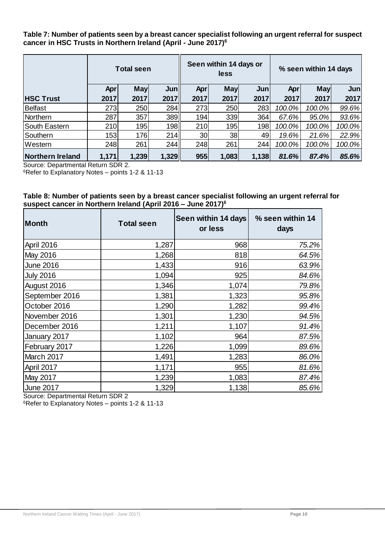**Table 7: Number of patients seen by a breast cancer specialist following an urgent referral for suspect cancer in HSC Trusts in Northern Ireland (April - June 2017) 6**

|                         | <b>Total seen</b> |            |       | Seen within 14 days or<br>less |            |       | % seen within 14 days |            |                  |
|-------------------------|-------------------|------------|-------|--------------------------------|------------|-------|-----------------------|------------|------------------|
|                         | Apr               | <b>May</b> | Jun   | Apr                            | <b>May</b> | Jun   | Apr                   | <b>May</b> | Jun <sub>1</sub> |
| <b>HSC Trust</b>        | 2017              | 2017       | 2017  | 2017                           | 2017       | 2017  | 2017                  | 2017       | 2017             |
| <b>Belfast</b>          | 273               | 250        | 284   | 273                            | 250        | 283   | 100.0%                | 100.0%     | 99.6%            |
| Northern                | 287               | 357        | 389   | 194                            | 339        | 364   | 67.6%                 | 95.0%      | 93.6%            |
| South Eastern           | 210               | 195        | 198   | 210                            | 195        | 198   | 100.0%                | 100.0%     | 100.0%           |
| Southern                | 153               | 176        | 214   | 30 <sub>l</sub>                | 38         | 49    | 19.6%                 | 21.6%      | 22.9%            |
| Western                 | 248               | 261        | 244   | 248                            | 261        | 244   | 100.0%                | 100.0%     | 100.0%           |
| <b>Northern Ireland</b> | 1,171             | 1,239      | 1,329 | 955                            | 1,083      | 1,138 | 81.6%                 | 87.4%      | 85.6%            |

Source: Departmental Return SDR 2.

<sup>6</sup>Refer to Explanatory Notes – points 1-2 & 11-13

#### **Table 8: Number of patients seen by a breast cancer specialist following an urgent referral for suspect cancer in Northern Ireland (April 2016 – June 2017) 6**

| Month            | <b>Total seen</b> | Seen within 14 days<br>or less | % seen within 14<br>days |
|------------------|-------------------|--------------------------------|--------------------------|
| April 2016       | 1,287             | 968                            | 75.2%                    |
| May 2016         | 1,268             | 818                            | 64.5%                    |
| <b>June 2016</b> | 1,433             | 916                            | 63.9%                    |
| <b>July 2016</b> | 1,094             | 925                            | 84.6%                    |
| August 2016      | 1,346             | 1,074                          | 79.8%                    |
| September 2016   | 1,381             | 1,323                          | 95.8%                    |
| October 2016     | 1,290             | 1,282                          | 99.4%                    |
| November 2016    | 1,301             | 1,230                          | 94.5%                    |
| December 2016    | 1,211             | 1,107                          | 91.4%                    |
| January 2017     | 1,102             | 964                            | 87.5%                    |
| February 2017    | 1,226             | 1,099                          | 89.6%                    |
| March 2017       | 1,491             | 1,283                          | 86.0%                    |
| April 2017       | 1,171             | 955                            | 81.6%                    |
| <b>May 2017</b>  | 1,239             | 1,083                          | 87.4%                    |
| <b>June 2017</b> | 1,329             | 1,138                          | 85.6%                    |

Source: Departmental Return SDR 2

<sup>6</sup>Refer to Explanatory Notes – points 1-2 & 11-13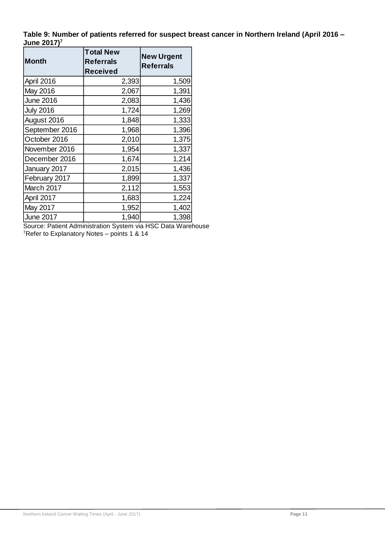**Table 9: Number of patients referred for suspect breast cancer in Northern Ireland (April 2016 – June 2017)<sup>7</sup>**

| <b>Month</b>     | <b>Total New</b><br><b>Referrals</b><br>Received | <b>New Urgent</b><br><b>Referrals</b> |
|------------------|--------------------------------------------------|---------------------------------------|
| April 2016       | 2,393                                            | 1,509                                 |
| May 2016         | 2,067                                            | 1,391                                 |
| <b>June 2016</b> | 2,083                                            | 1,436                                 |
| <b>July 2016</b> | 1,724                                            | 1,269                                 |
| August 2016      | 1,848                                            | 1,333                                 |
| September 2016   | 1,968                                            | 1,396                                 |
| October 2016     | 2,010                                            | 1,375                                 |
| November 2016    | 1,954                                            | 1,337                                 |
| December 2016    | 1,674                                            | 1,214                                 |
| January 2017     | 2,015                                            | 1,436                                 |
| February 2017    | 1,899                                            | 1,337                                 |
| March 2017       | 2,112                                            | 1,553                                 |
| April 2017       | 1,683                                            | 1,224                                 |
| May 2017         | 1,952                                            | 1,402                                 |
| June 2017        | 1,940                                            | 1,398                                 |

Source: Patient Administration System via HSC Data Warehouse <sup>7</sup>Refer to Explanatory Notes – points 1 & 14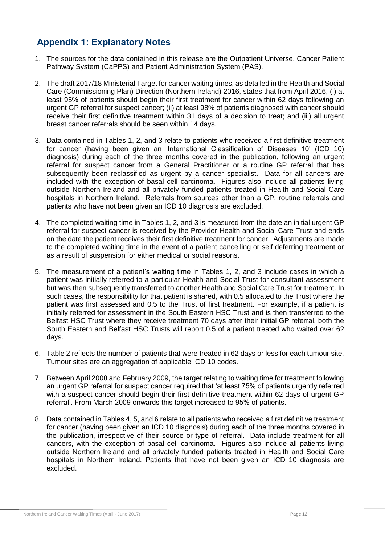# **Appendix 1: Explanatory Notes**

- 1. The sources for the data contained in this release are the Outpatient Universe, Cancer Patient Pathway System (CaPPS) and Patient Administration System (PAS).
- 2. The draft 2017/18 Ministerial Target for cancer waiting times, as detailed in the Health and Social Care (Commissioning Plan) Direction (Northern Ireland) 2016, states that from April 2016, (i) at least 95% of patients should begin their first treatment for cancer within 62 days following an urgent GP referral for suspect cancer; (ii) at least 98% of patients diagnosed with cancer should receive their first definitive treatment within 31 days of a decision to treat; and (iii) all urgent breast cancer referrals should be seen within 14 days.
- 3. Data contained in Tables 1, 2, and 3 relate to patients who received a first definitive treatment for cancer (having been given an 'International Classification of Diseases 10' (ICD 10) diagnosis) during each of the three months covered in the publication, following an urgent referral for suspect cancer from a General Practitioner or a routine GP referral that has subsequently been reclassified as urgent by a cancer specialist. Data for all cancers are included with the exception of basal cell carcinoma. Figures also include all patients living outside Northern Ireland and all privately funded patients treated in Health and Social Care hospitals in Northern Ireland. Referrals from sources other than a GP, routine referrals and patients who have not been given an ICD 10 diagnosis are excluded.
- 4. The completed waiting time in Tables 1, 2, and 3 is measured from the date an initial urgent GP referral for suspect cancer is received by the Provider Health and Social Care Trust and ends on the date the patient receives their first definitive treatment for cancer. Adjustments are made to the completed waiting time in the event of a patient cancelling or self deferring treatment or as a result of suspension for either medical or social reasons.
- 5. The measurement of a patient's waiting time in Tables 1, 2, and 3 include cases in which a patient was initially referred to a particular Health and Social Trust for consultant assessment but was then subsequently transferred to another Health and Social Care Trust for treatment. In such cases, the responsibility for that patient is shared, with 0.5 allocated to the Trust where the patient was first assessed and 0.5 to the Trust of first treatment. For example, if a patient is initially referred for assessment in the South Eastern HSC Trust and is then transferred to the Belfast HSC Trust where they receive treatment 70 days after their initial GP referral, both the South Eastern and Belfast HSC Trusts will report 0.5 of a patient treated who waited over 62 days.
- 6. Table 2 reflects the number of patients that were treated in 62 days or less for each tumour site. Tumour sites are an aggregation of applicable ICD 10 codes.
- 7. Between April 2008 and February 2009, the target relating to waiting time for treatment following an urgent GP referral for suspect cancer required that 'at least 75% of patients urgently referred with a suspect cancer should begin their first definitive treatment within 62 days of urgent GP referral'. From March 2009 onwards this target increased to 95% of patients.
- 8. Data contained in Tables 4, 5, and 6 relate to all patients who received a first definitive treatment for cancer (having been given an ICD 10 diagnosis) during each of the three months covered in the publication, irrespective of their source or type of referral. Data include treatment for all cancers, with the exception of basal cell carcinoma. Figures also include all patients living outside Northern Ireland and all privately funded patients treated in Health and Social Care hospitals in Northern Ireland. Patients that have not been given an ICD 10 diagnosis are excluded.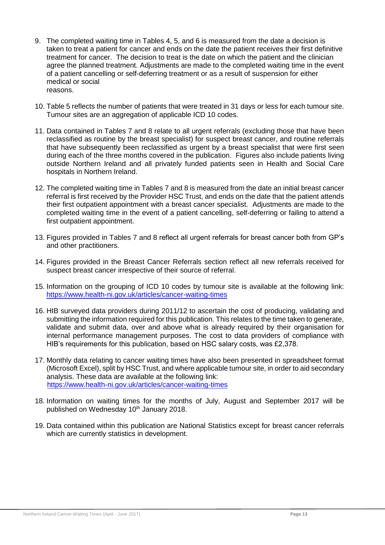- 9. The completed waiting time in Tables 4, 5, and 6 is measured from the date a decision is taken to treat a patient for cancer and ends on the date the patient receives their first definitive treatment for cancer. The decision to treat is the date on which the patient and the clinician agree the planned treatment. Adjustments are made to the completed waiting time in the event of a patient cancelling or self-deferring treatment or as a result of suspension for either medical or social reasons.
- 10. Table 5 reflects the number of patients that were treated in 31 days or less for each tumour site. Tumour sites are an aggregation of applicable ICD 10 codes.
- 11. Data contained in Tables 7 and 8 relate to all urgent referrals (excluding those that have been reclassified as routine by the breast specialist) for suspect breast cancer, and routine referrals that have subsequently been reclassified as urgent by a breast specialist that were first seen during each of the three months covered in the publication. Figures also include patients living outside Northern Ireland and all privately funded patients seen in Health and Social Care hospitals in Northern Ireland.
- 12. The completed waiting time in Tables 7 and 8 is measured from the date an initial breast cancer referral is first received by the Provider HSC Trust, and ends on the date that the patient attends their first outpatient appointment with a breast cancer specialist. Adjustments are made to the completed waiting time in the event of a patient cancelling, self-deferring or failing to attend a first outpatient appointment.
- 13. Figures provided in Tables 7 and 8 reflect all urgent referrals for breast cancer both from GP's and other practitioners.
- 14. Figures provided in the Breast Cancer Referrals section reflect all new referrals received for suspect breast cancer irrespective of their source of referral.
- 15. Information on the grouping of ICD 10 codes by tumour site is available at the following link: <https://www.health-ni.gov.uk/articles/cancer-waiting-times>
- 16. HIB surveyed data providers during 2011/12 to ascertain the cost of producing, validating and submitting the information required for this publication. This relates to the time taken to generate, validate and submit data, over and above what is already required by their organisation for internal performance management purposes. The cost to data providers of compliance with HIB's requirements for this publication, based on HSC salary costs, was £2,378.
- 17. Monthly data relating to cancer waiting times have also been presented in spreadsheet format (Microsoft Excel), split by HSC Trust, and where applicable tumour site, in order to aid secondary analysis. These data are available at the following link: <https://www.health-ni.gov.uk/articles/cancer-waiting-times>
- 18. Information on waiting times for the months of July, August and September 2017 will be published on Wednesday 10<sup>th</sup> January 2018.
- 19. Data contained within this publication are National Statistics except for breast cancer referrals which are currently statistics in development.